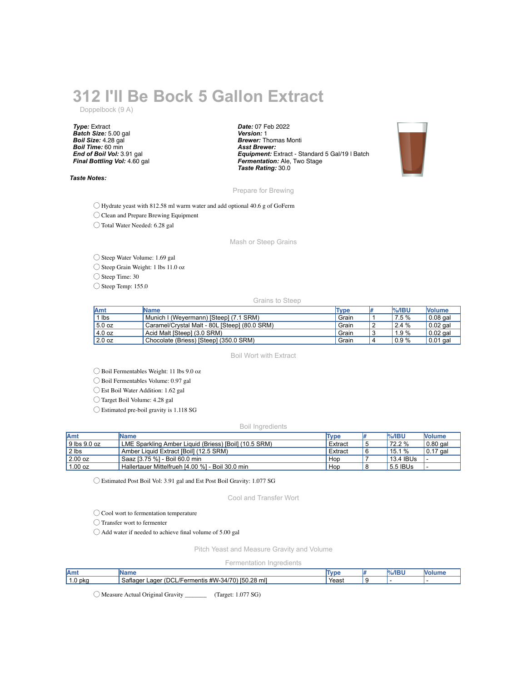## **312 I'll Be Bock 5 Gallon Extract**

Doppelbock (9 A)

*Type:* Extract *Batch Size:* 5.00 gal *Boil Size:* 4.28 gal *Boil Time:* 60 min *End of Boil Vol:* 3.91 gal *Final Bottling Vol:* 4.60 gal

*Taste Notes:*

*Date:* 07 Feb 2022 *Version:* 1 *Brewer:* Thomas Monti *Asst Brewer: Equipment:* Extract - Standard 5 Gal/19 l Batch *Fermentation:* Ale, Two Stage *Taste Rating:* 30.0



Prepare for Brewing

◯ Hydrate yeast with 812.58 ml warm water and add optional 40.6 g of GoFerm

◯ Clean and Prepare Brewing Equipment

◯ Total Water Needed: 6.28 gal

Mash or Steep Grains

◯ Steep Water Volume: 1.69 gal

◯ Steep Grain Weight: 1 lbs 11.0 oz

◯ Steep Time: 30

◯ Steep Temp: 155.0

Grains to Steep

| <b>Amt</b> | <b>IName</b>                                  | Type  |   | $%$ /IBU             | <b>Nolume</b> |
|------------|-----------------------------------------------|-------|---|----------------------|---------------|
| $1$ lbs    | Munich I (Weyermann) [Steep] (7.1 SRM)        | Grain |   | 7.5%                 | $0.08$ gal    |
| 5.0 oz     | Caramel/Crystal Malt - 80L [Steep] (80.0 SRM) | Grain |   | $^{\prime}$ 2.4 $\%$ | $0.02$ gal    |
| 4.0 oz     | Acid Malt [Steep] (3.0 SRM)                   | Grain | w | 1.9%                 | $0.02$ gal    |
| 2.0 oz     | Chocolate (Briess) [Steep] (350.0 SRM)        | Grain | 4 | 0.9%                 | $0.01$ gal    |

Boil Wort with Extract

◯ Boil Fermentables Weight: 11 lbs 9.0 oz

◯ Boil Fermentables Volume: 0.97 gal

◯ Est Boil Water Addition: 1.62 gal

◯ Target Boil Volume: 4.28 gal

◯ Estimated pre-boil gravity is 1.118 SG

## Boil Ingredients

| <b>Amt</b>       | <b>IName</b>                                          | Type    | $%$ /IBU    | <b>Nolume</b>    |
|------------------|-------------------------------------------------------|---------|-------------|------------------|
| $9$ lbs $9.0$ oz | LME Sparkling Amber Liquid (Briess) [Boil] (10.5 SRM) | Extract | 72.2 %      | $\vert$ 0.80 gal |
| $ 2 $ lbs        | Amber Liquid Extract [Boil] (12.5 SRM)                | Extract | 15.1 %      | $\vert 0.17$ gal |
| 2.00 oz          | Saaz [3.75 %] - Boil 60.0 min                         | Hop     | $13.4$ IBUs |                  |
| 1.00 oz          | Hallertauer Mittelfrueh [4.00 %] - Boil 30.0 min      | Hop     | 5.5 IBUs    |                  |

◯ Estimated Post Boil Vol: 3.91 gal and Est Post Boil Gravity: 1.077 SG

Cool and Transfer Wort

◯ Cool wort to fermentation temperature

◯ Transfer wort to fermenter

◯ Add water if needed to achieve final volume of 5.00 gal

Pitch Yeast and Measure Gravity and Volume

Fermentation Ingredients

| 'Amı                            |                                                                         |       |  |  |
|---------------------------------|-------------------------------------------------------------------------|-------|--|--|
| $\ddot{\phantom{1}}$<br>1.0 pkg | --<br>[50.28 ml]<br>satlager<br>ager<br>#W-<br>mentis<br>34/<br>$\cdot$ | Yeası |  |  |
|                                 |                                                                         |       |  |  |

◯ Measure Actual Original Gravity \_\_\_\_\_\_\_ (Target: 1.077 SG)